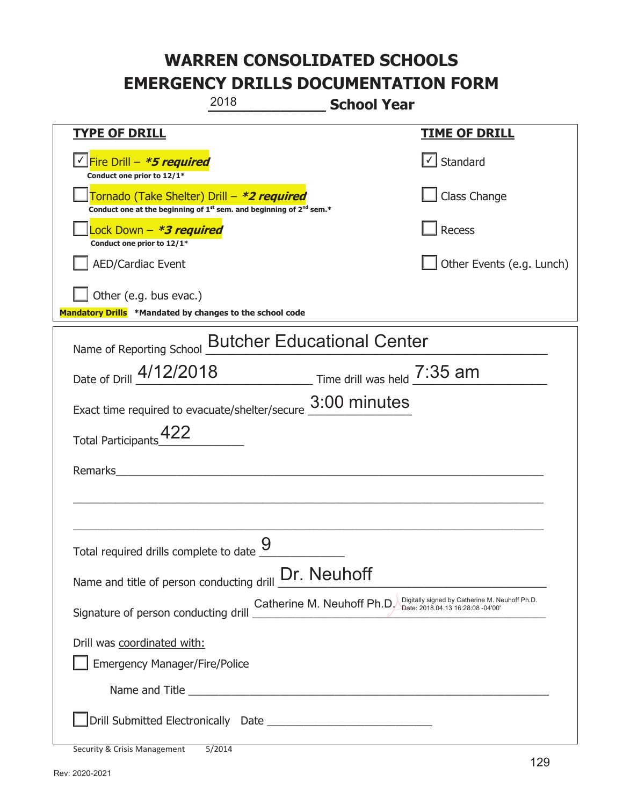|                                                                                                                                           | 2018                              | <b>School Year</b>                                               |                                                |
|-------------------------------------------------------------------------------------------------------------------------------------------|-----------------------------------|------------------------------------------------------------------|------------------------------------------------|
| <b>TYPE OF DRILL</b>                                                                                                                      |                                   |                                                                  | <b>TIME OF DRILL</b>                           |
| √Fire Drill – <i>*<b>5 required</b></i><br>Conduct one prior to 12/1*                                                                     |                                   |                                                                  | $\lfloor \angle \rfloor$ Standard              |
| Tornado (Take Shelter) Drill – *2 required<br>Conduct one at the beginning of 1 <sup>st</sup> sem. and beginning of 2 <sup>nd</sup> sem.* |                                   |                                                                  | Class Change                                   |
| Lock Down - *3 required<br>Conduct one prior to 12/1*                                                                                     |                                   |                                                                  | Recess                                         |
| <b>AED/Cardiac Event</b>                                                                                                                  |                                   |                                                                  | Other Events (e.g. Lunch)                      |
| Other (e.g. bus evac.)<br>Mandatory Drills *Mandated by changes to the school code                                                        |                                   |                                                                  |                                                |
| Name of Reporting School                                                                                                                  | <b>Butcher Educational Center</b> |                                                                  |                                                |
| Date of Drill 4/12/2018 Time drill was held 7:35 am                                                                                       |                                   |                                                                  |                                                |
| Exact time required to evacuate/shelter/secure 3:00 minutes                                                                               |                                   |                                                                  |                                                |
| <b>Total Participants</b>                                                                                                                 |                                   |                                                                  |                                                |
| Remarks                                                                                                                                   |                                   |                                                                  |                                                |
|                                                                                                                                           |                                   |                                                                  |                                                |
|                                                                                                                                           | $\overline{Q}$                    |                                                                  |                                                |
| Total required drills complete to date <u>U</u>                                                                                           |                                   |                                                                  |                                                |
| Name and title of person conducting drill <b>Dr.</b> Neuhoff                                                                              |                                   |                                                                  |                                                |
| Signature of person conducting drill                                                                                                      |                                   | Catherine M. Neuhoff Ph.D. Digitally signed by Cauterine wi. ive | Digitally signed by Catherine M. Neuhoff Ph.D. |
| Drill was coordinated with:                                                                                                               |                                   |                                                                  |                                                |
| <b>Emergency Manager/Fire/Police</b>                                                                                                      |                                   |                                                                  |                                                |
|                                                                                                                                           |                                   |                                                                  |                                                |
|                                                                                                                                           |                                   |                                                                  |                                                |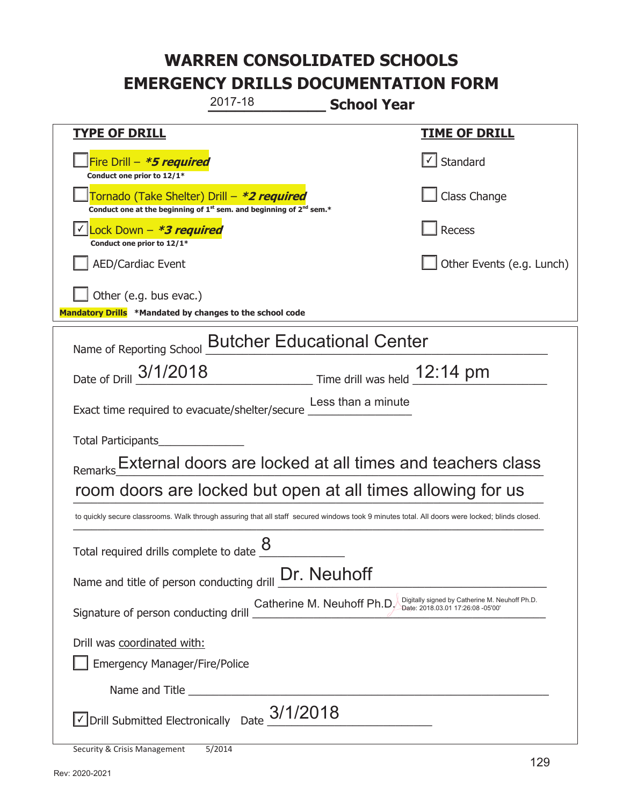|                                                                                                                                                | 2017-18                                                                                                                                                                                                                              | <b>School Year</b>                                                                                                |
|------------------------------------------------------------------------------------------------------------------------------------------------|--------------------------------------------------------------------------------------------------------------------------------------------------------------------------------------------------------------------------------------|-------------------------------------------------------------------------------------------------------------------|
| <b>TYPE OF DRILL</b>                                                                                                                           |                                                                                                                                                                                                                                      | <b>TIME OF DRILL</b>                                                                                              |
| Fire Drill - *5 required<br>Conduct one prior to 12/1*                                                                                         |                                                                                                                                                                                                                                      | $\lfloor \angle \rfloor$ Standard                                                                                 |
|                                                                                                                                                | Tornado (Take Shelter) Drill – *2 required<br>Conduct one at the beginning of $1st$ sem. and beginning of $2nd$ sem.*                                                                                                                | Class Change                                                                                                      |
| ock Down - <b>*3 required</b><br>Conduct one prior to 12/1*                                                                                    |                                                                                                                                                                                                                                      | Recess                                                                                                            |
| <b>AED/Cardiac Event</b>                                                                                                                       |                                                                                                                                                                                                                                      | Other Events (e.g. Lunch)                                                                                         |
| Other (e.g. bus evac.)<br>Mandatory Drills *Mandated by changes to the school code                                                             |                                                                                                                                                                                                                                      |                                                                                                                   |
| Name of Reporting School Butcher Educational Center                                                                                            |                                                                                                                                                                                                                                      |                                                                                                                   |
|                                                                                                                                                |                                                                                                                                                                                                                                      | Date of Drill 3/1/2018 Time drill was held 12:14 pm                                                               |
| Exact time required to evacuate/shelter/secure Less than a minute                                                                              |                                                                                                                                                                                                                                      |                                                                                                                   |
| Total Participants                                                                                                                             |                                                                                                                                                                                                                                      |                                                                                                                   |
|                                                                                                                                                |                                                                                                                                                                                                                                      | Remarks External doors are locked at all times and teachers class                                                 |
| room doors are locked but open at all times allowing for us                                                                                    |                                                                                                                                                                                                                                      |                                                                                                                   |
| to quickly secure classrooms. Walk through assuring that all staff secured windows took 9 minutes total. All doors were locked; blinds closed. |                                                                                                                                                                                                                                      |                                                                                                                   |
| Total required drills complete to date $8$                                                                                                     |                                                                                                                                                                                                                                      |                                                                                                                   |
| Name and title of person conducting drill <b>Dr.</b> Neuhoff                                                                                   |                                                                                                                                                                                                                                      |                                                                                                                   |
| Signature of person conducting drill <b>Support Contract Conduct</b>                                                                           |                                                                                                                                                                                                                                      | Digitally signed by Catherine M. Neuhoff Ph.D.<br>Catherine M. Neuhoff Ph.D.<br>Date: 2018.03.01 17:26:08 -05'00' |
| Drill was coordinated with:                                                                                                                    |                                                                                                                                                                                                                                      |                                                                                                                   |
| <b>Emergency Manager/Fire/Police</b>                                                                                                           |                                                                                                                                                                                                                                      |                                                                                                                   |
|                                                                                                                                                | Name and Title <u>experience and the series of the series of the series of the series of the series of the series of the series of the series of the series of the series of the series of the series of the series of the serie</u> |                                                                                                                   |
|                                                                                                                                                | Drill Submitted Electronically Date $_2$ 3/1/2018                                                                                                                                                                                    |                                                                                                                   |
| Security & Crisis Management                                                                                                                   | 5/2014                                                                                                                                                                                                                               |                                                                                                                   |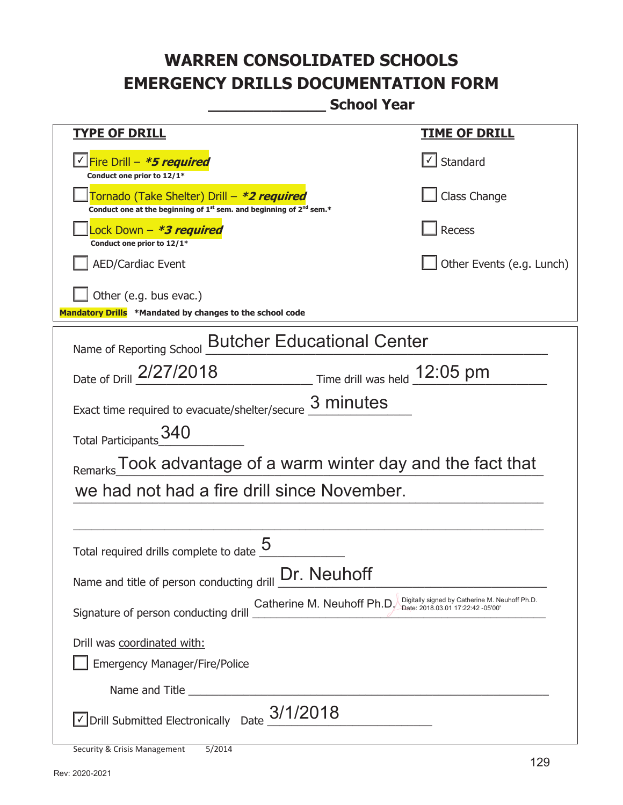**\_\_\_\_\_\_\_\_\_\_\_\_\_ School Year** 

| <u>TYPE OF DRILL</u>                                                                                                                                      | <b>TIME OF DRILL</b>      |  |
|-----------------------------------------------------------------------------------------------------------------------------------------------------------|---------------------------|--|
| √Fire Drill – <i>*<b>5 required</b></i><br>Conduct one prior to 12/1*                                                                                     | √ Standard                |  |
| Tornado (Take Shelter) Drill – *2 required<br>Conduct one at the beginning of 1 <sup>st</sup> sem. and beginning of 2 <sup>nd</sup> sem.*                 | Class Change              |  |
| Lock Down – <b>*<i>3 required</i></b><br>Conduct one prior to 12/1*                                                                                       | Recess                    |  |
| <b>AED/Cardiac Event</b>                                                                                                                                  | Other Events (e.g. Lunch) |  |
| Other (e.g. bus evac.)<br>Mandatory Drills *Mandated by changes to the school code                                                                        |                           |  |
| <b>Butcher Educational Center</b><br>Name of Reporting School                                                                                             |                           |  |
| Date of Drill 2/27/2018<br>Time drill was held 12:05 pm                                                                                                   |                           |  |
| 3 minutes<br>Exact time required to evacuate/shelter/secure                                                                                               |                           |  |
| 340<br>Total Participants                                                                                                                                 |                           |  |
| Remarks Took advantage of a warm winter day and the fact that                                                                                             |                           |  |
| we had not had a fire drill since November.                                                                                                               |                           |  |
|                                                                                                                                                           |                           |  |
| Total required drills complete to date                                                                                                                    |                           |  |
| Name and title of person conducting drill <b>Dr.</b> Neuhoff                                                                                              |                           |  |
| Digitally signed by Catherine M. Neuhoff Ph.D.<br>Catherine M. Neuhoff Ph.D.<br>Date: 2018.03.01 17:22:42 -05'00'<br>Signature of person conducting drill |                           |  |
| Drill was coordinated with:                                                                                                                               |                           |  |
| <b>Emergency Manager/Fire/Police</b>                                                                                                                      |                           |  |
| Name and Title                                                                                                                                            |                           |  |
| $\vee$ Drill Submitted Electronically Date $_{\circ}$ 3/1/2018                                                                                            |                           |  |
| <b>Security &amp; Crisis Management</b><br>5/2014                                                                                                         |                           |  |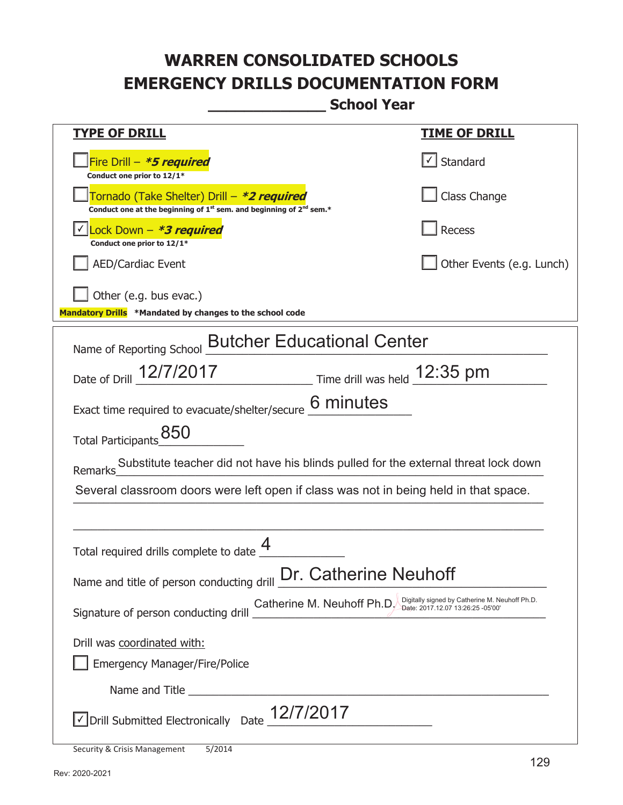**\_\_\_\_\_\_\_\_\_\_\_\_\_ School Year** 

| <u>TYPE OF DRILL</u>                                                                                                                                      | <u>TIME OF DRILL</u>              |  |
|-----------------------------------------------------------------------------------------------------------------------------------------------------------|-----------------------------------|--|
| Fire Drill - *5 required<br>Conduct one prior to 12/1*                                                                                                    | $\lfloor \angle \rfloor$ Standard |  |
| Tornado (Take Shelter) Drill – *2 required<br>Conduct one at the beginning of 1 <sup>st</sup> sem. and beginning of 2 <sup>nd</sup> sem.*                 | Class Change                      |  |
| Lock Down - *3 required<br>Conduct one prior to 12/1*                                                                                                     | <b>Recess</b>                     |  |
| <b>AED/Cardiac Event</b>                                                                                                                                  | Other Events (e.g. Lunch)         |  |
| Other (e.g. bus evac.)<br>Mandatory Drills *Mandated by changes to the school code                                                                        |                                   |  |
| <b>Butcher Educational Center</b><br>Name of Reporting School                                                                                             |                                   |  |
| Date of Drill 12/7/2017 Time drill was held 12:35 pm                                                                                                      |                                   |  |
| Exact time required to evacuate/shelter/secure 6 minutes                                                                                                  |                                   |  |
| Total Participants 850                                                                                                                                    |                                   |  |
| Substitute teacher did not have his blinds pulled for the external threat lock down<br>Remarks                                                            |                                   |  |
| Several classroom doors were left open if class was not in being held in that space.                                                                      |                                   |  |
|                                                                                                                                                           |                                   |  |
| Total required drills complete to date $\frac{4}{5}$                                                                                                      |                                   |  |
| Name and title of person conducting drill <b>Dr. Catherine Neuhoff</b>                                                                                    |                                   |  |
| Digitally signed by Catherine M. Neuhoff Ph.D.<br>Catherine M. Neuhoff Ph.D.<br>Date: 2017.12.07 13:26:25 -05'00'<br>Signature of person conducting drill |                                   |  |
| Drill was coordinated with:                                                                                                                               |                                   |  |
| <b>Emergency Manager/Fire/Police</b>                                                                                                                      |                                   |  |
| Name and Title <b>Example 2018</b> Name and Title <b>Example 2018</b>                                                                                     |                                   |  |
| $\sqrt{}$ Drill Submitted Electronically Date $\_12/7/2017$                                                                                               |                                   |  |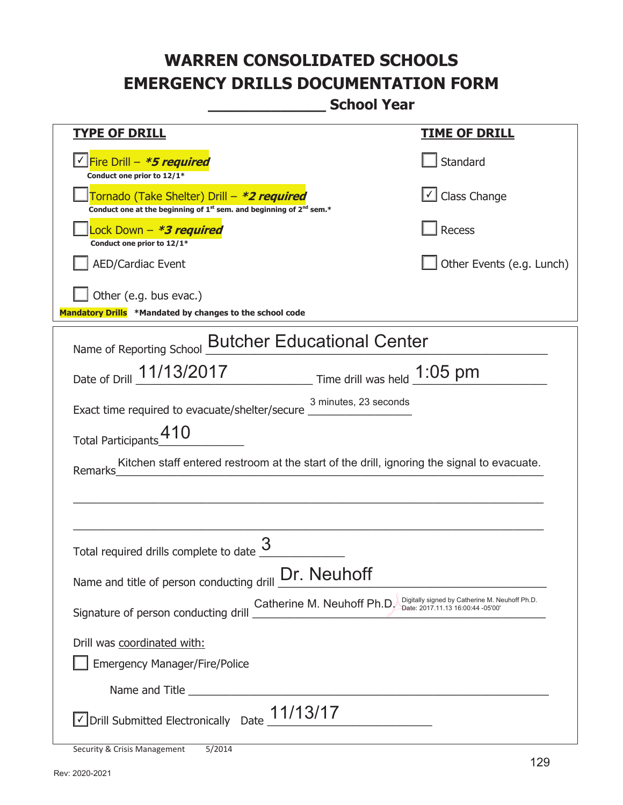**\_\_\_\_\_\_\_\_\_\_\_\_\_ School Year** 

| <b>TYPE OF DRILL</b>                                                                                                                      | <b>TIME OF DRILL</b>                                                                |
|-------------------------------------------------------------------------------------------------------------------------------------------|-------------------------------------------------------------------------------------|
| <u>√ Fire Drill – <i>*5 required</i></u><br>Conduct one prior to 12/1*                                                                    | Standard                                                                            |
| Tornado (Take Shelter) Drill – *2 required<br>Conduct one at the beginning of 1 <sup>st</sup> sem. and beginning of 2 <sup>nd</sup> sem.* | $\boxed{\checkmark}$ Class Change                                                   |
| Lock Down - *3 required<br>Conduct one prior to 12/1*                                                                                     | Recess                                                                              |
| <b>AED/Cardiac Event</b>                                                                                                                  | Other Events (e.g. Lunch)                                                           |
| Other (e.g. bus evac.)<br>Mandatory Drills *Mandated by changes to the school code                                                        |                                                                                     |
| Name of Reporting School <b>Butcher Educational Center</b>                                                                                |                                                                                     |
| Date of Drill 11/13/2017 Time drill was held 1:05 pm                                                                                      |                                                                                     |
| 3 minutes, 23 seconds<br>Exact time required to evacuate/shelter/secure _________________________________                                 |                                                                                     |
| 410<br><b>Total Participants</b>                                                                                                          |                                                                                     |
| Kitchen staff entered restroom at the start of the drill, ignoring the signal to evacuate.<br>Remarks                                     |                                                                                     |
|                                                                                                                                           |                                                                                     |
| Total required drills complete to date                                                                                                    |                                                                                     |
| Dr. Neuhoff<br>Name and title of person conducting drill                                                                                  |                                                                                     |
| Catherine M. Neuhoff Ph.D.<br>Signature of person conducting drill                                                                        | Digitally signed by Catherine M. Neuhoff Ph.D.<br>Date: 2017.11.13 16:00:44 -05'00' |
| Drill was coordinated with:                                                                                                               |                                                                                     |
| <b>Emergency Manager/Fire/Police</b>                                                                                                      |                                                                                     |
|                                                                                                                                           |                                                                                     |
| Drill Submitted Electronically Date $11/13/17$                                                                                            |                                                                                     |

Security & Crisis Management 5/2014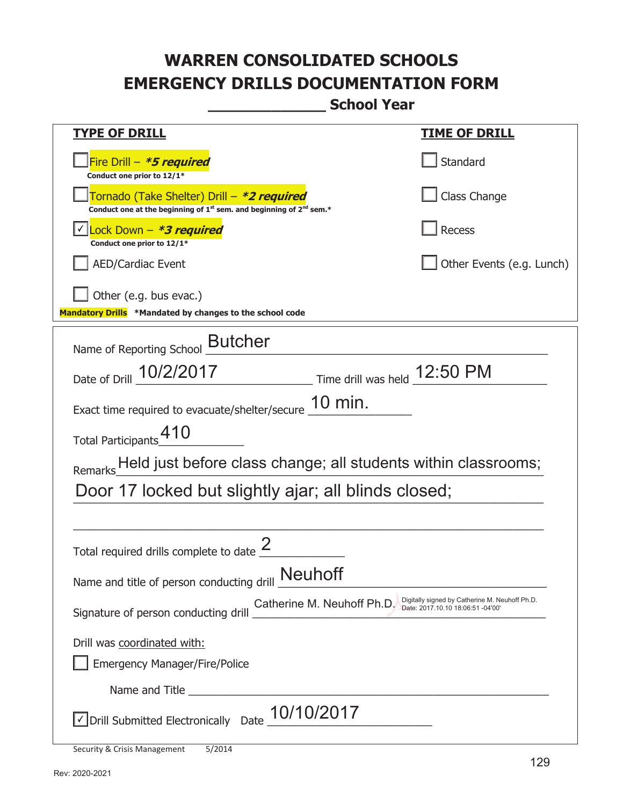**\_\_\_\_\_\_\_\_\_\_\_\_\_ School Year** 

| <u>TYPE OF DRILL</u>                                                                                                                                                              | <u>TIME OF DRILL</u>      |  |
|-----------------------------------------------------------------------------------------------------------------------------------------------------------------------------------|---------------------------|--|
| Fire Drill - *5 required<br>Conduct one prior to 12/1*                                                                                                                            | Standard                  |  |
| Tornado (Take Shelter) Drill – *2 required<br>Conduct one at the beginning of 1 <sup>st</sup> sem. and beginning of 2 <sup>nd</sup> sem.*                                         | Class Change              |  |
| Lock Down - *3 required<br>Conduct one prior to 12/1*                                                                                                                             | <b>Recess</b>             |  |
| <b>AED/Cardiac Event</b>                                                                                                                                                          | Other Events (e.g. Lunch) |  |
| Other (e.g. bus evac.)<br>Mandatory Drills *Mandated by changes to the school code                                                                                                |                           |  |
| Name of Reporting School <b>Butcher</b>                                                                                                                                           |                           |  |
| Time drill was held 12:50 PM<br>Date of Drill 10/2/2017                                                                                                                           |                           |  |
| 10 min.<br>Exact time required to evacuate/shelter/secure                                                                                                                         |                           |  |
| Total Participants_410                                                                                                                                                            |                           |  |
| Remarks Held just before class change; all students within classrooms;                                                                                                            |                           |  |
| Door 17 locked but slightly ajar; all blinds closed;                                                                                                                              |                           |  |
|                                                                                                                                                                                   |                           |  |
| Total required drills complete to date                                                                                                                                            |                           |  |
| Name and title of person conducting drill Neuhoff                                                                                                                                 |                           |  |
| Digitally signed by Catherine M. Neuhoff Ph.D.<br>Catherine M. Neuhoff Ph.D.<br>Date: 2017.10.10 18:06:51 -04'00'<br>Signature of person conducting drill Community in receiver a |                           |  |
| Drill was coordinated with:                                                                                                                                                       |                           |  |
| <b>Emergency Manager/Fire/Police</b>                                                                                                                                              |                           |  |
|                                                                                                                                                                                   |                           |  |
| 10/10/2017<br>√ Drill Submitted Electronically Date                                                                                                                               |                           |  |

Security & Crisis Management 5/2014